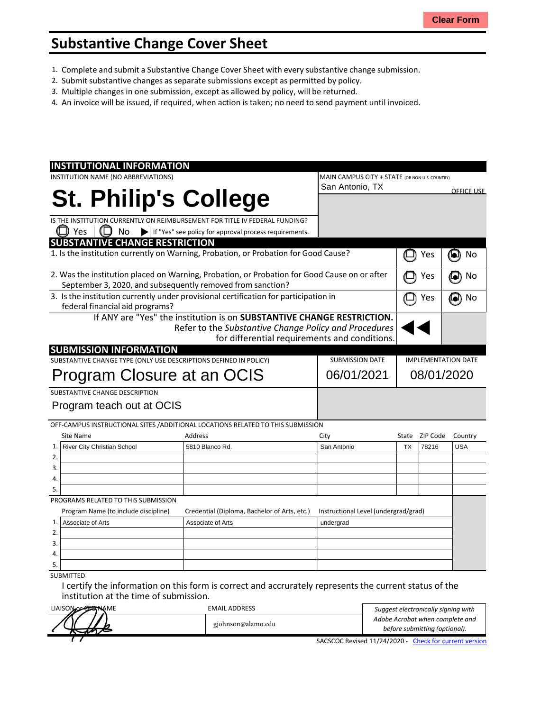## **Substantive Change Cover Sheet**

- 1. Complete and submit a Substantive Change Cover Sheet with every substantive change submission.
- 2. Submit substantive changes asseparate submissions except as permitted by policy.
- 3. Multiple changes in one submission, except as allowed by policy, will be returned.
- 4. An invoice will be issued, if required, when action is taken; no need to send payment until invoiced.

| <b>INSTITUTIONAL INFORMATION</b>                                                                                                                           |                                                                                  |                                                |                            |                |                   |
|------------------------------------------------------------------------------------------------------------------------------------------------------------|----------------------------------------------------------------------------------|------------------------------------------------|----------------------------|----------------|-------------------|
| INSTITUTION NAME (NO ABBREVIATIONS)                                                                                                                        |                                                                                  | MAIN CAMPUS CITY + STATE (OR NON-U.S. COUNTRY) |                            |                |                   |
|                                                                                                                                                            |                                                                                  | San Antonio, TX                                |                            |                | <b>OFFICE USE</b> |
|                                                                                                                                                            | <b>St. Philip's College</b>                                                      |                                                |                            |                |                   |
|                                                                                                                                                            |                                                                                  |                                                |                            |                |                   |
|                                                                                                                                                            | IS THE INSTITUTION CURRENTLY ON REIMBURSEMENT FOR TITLE IV FEDERAL FUNDING?      |                                                |                            |                |                   |
| $\Box$ Yes<br>No                                                                                                                                           | If "Yes" see policy for approval process requirements.                           |                                                |                            |                |                   |
| <b>SUBSTANTIVE CHANGE RESTRICTION</b>                                                                                                                      |                                                                                  |                                                |                            |                |                   |
| 1. Is the institution currently on Warning, Probation, or Probation for Good Cause?                                                                        |                                                                                  |                                                | Yes                        | 0<br>No        |                   |
| 2. Was the institution placed on Warning, Probation, or Probation for Good Cause on or after<br>September 3, 2020, and subsequently removed from sanction? |                                                                                  |                                                |                            | Yes            | No<br>о           |
| 3. Is the institution currently under provisional certification for participation in<br>federal financial aid programs?                                    |                                                                                  |                                                | Yes                        | No<br>[e])     |                   |
|                                                                                                                                                            | If ANY are "Yes" the institution is on SUBSTANTIVE CHANGE RESTRICTION.           |                                                |                            |                |                   |
|                                                                                                                                                            | Refer to the Substantive Change Policy and Procedures                            |                                                |                            |                |                   |
|                                                                                                                                                            |                                                                                  | for differential requirements and conditions.  |                            |                |                   |
| <b>SUBMISSION INFORMATION</b>                                                                                                                              |                                                                                  |                                                |                            |                |                   |
| SUBSTANTIVE CHANGE TYPE (ONLY USE DESCRIPTIONS DEFINED IN POLICY)                                                                                          | <b>SUBMISSION DATE</b>                                                           |                                                | <b>IMPLEMENTATION DATE</b> |                |                   |
| Program Closure at an OCIS                                                                                                                                 |                                                                                  | 06/01/2021                                     | 08/01/2020                 |                |                   |
|                                                                                                                                                            |                                                                                  |                                                |                            |                |                   |
| SUBSTANTIVE CHANGE DESCRIPTION                                                                                                                             |                                                                                  |                                                |                            |                |                   |
| Program teach out at OCIS                                                                                                                                  |                                                                                  |                                                |                            |                |                   |
|                                                                                                                                                            |                                                                                  |                                                |                            |                |                   |
|                                                                                                                                                            | OFF-CAMPUS INSTRUCTIONAL SITES / ADDITIONAL LOCATIONS RELATED TO THIS SUBMISSION |                                                |                            |                |                   |
| Site Name                                                                                                                                                  | Address                                                                          | City                                           |                            | State ZIP Code | Country           |
| River City Christian School<br>1.                                                                                                                          | 5810 Blanco Rd.                                                                  | San Antonio                                    | <b>TX</b>                  | 78216          | <b>USA</b>        |
| 2.                                                                                                                                                         |                                                                                  |                                                |                            |                |                   |
| 3.                                                                                                                                                         |                                                                                  |                                                |                            |                |                   |
| 4.                                                                                                                                                         |                                                                                  |                                                |                            |                |                   |
| 5.                                                                                                                                                         |                                                                                  |                                                |                            |                |                   |
| PROGRAMS RELATED TO THIS SUBMISSION                                                                                                                        |                                                                                  |                                                |                            |                |                   |
| Program Name (to include discipline)                                                                                                                       | Credential (Diploma, Bachelor of Arts, etc.)                                     | Instructional Level (undergrad/grad)           |                            |                |                   |
| Associate of Arts<br>1.                                                                                                                                    | Associate of Arts                                                                | undergrad                                      |                            |                |                   |
| 2.                                                                                                                                                         |                                                                                  |                                                |                            |                |                   |
| 3.                                                                                                                                                         |                                                                                  |                                                |                            |                |                   |
| 4.                                                                                                                                                         |                                                                                  |                                                |                            |                |                   |
| 5.                                                                                                                                                         |                                                                                  |                                                |                            |                |                   |
|                                                                                                                                                            |                                                                                  |                                                |                            |                |                   |

I certify the information on this form is correct and accrurately represents the current status of the institution at the time of submission.

| LIAISON OF CERNAME | <b>EMAIL ADDRESS</b> | Suggest electronically signing with                    |  |
|--------------------|----------------------|--------------------------------------------------------|--|
|                    |                      | Adobe Acrobat when complete and                        |  |
|                    | gjohnson@alamo.edu   | before submitting (optional).                          |  |
|                    |                      | SACSCOC Revised 11/24/2020 - Check for current version |  |

SACSCOC Revised 11/24/2020 - Check for current version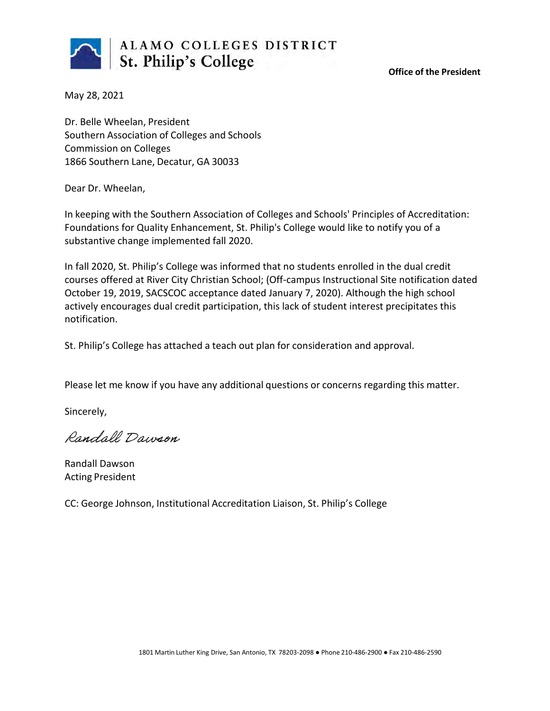

**Office of the President**

May 28, 2021

Dr. Belle Wheelan, President Southern Association of Colleges and Schools Commission on Colleges 1866 Southern Lane, Decatur, GA 30033

Dear Dr. Wheelan,

In keeping with the Southern Association of Colleges and Schools' Principles of Accreditation: Foundations for Quality Enhancement, St. Philip's College would like to notify you of a substantive change implemented fall 2020.

In fall 2020, St. Philip's College was informed that no students enrolled in the dual credit courses offered at River City Christian School; (Off-campus Instructional Site notification dated October 19, 2019, SACSCOC acceptance dated January 7, 2020). Although the high school actively encourages dual credit participation, this lack of student interest precipitates this notification.

St. Philip's College has attached a teach out plan for consideration and approval.

Please let me know if you have any additional questions or concerns regarding this matter.

Sincerely,

Randall Dawson

Randall Dawson Acting President

CC: George Johnson, Institutional Accreditation Liaison, St. Philip's College